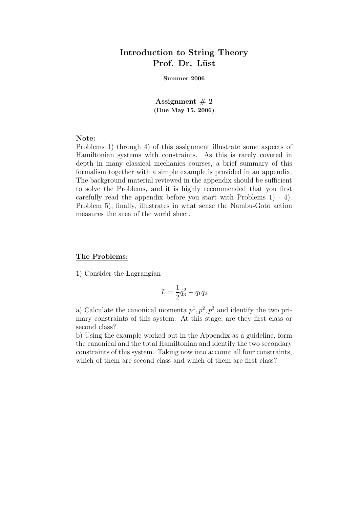# Introduction to String Theory Prof. Dr. Lüst

#### Summer 2006

Assignment  $# 2$ (Due May 15, 2006)

# Note:

Problems 1) through 4) of this assignment illustrate some aspects of Hamiltonian systems with constraints. As this is rarely covered in depth in many classical mechanics courses, a brief summary of this formalism together with a simple example is provided in an appendix. The background material reviewed in the appendix should be sufficient to solve the Problems, and it is highly recommended that you first carefully read the appendix before you start with Problems 1) - 4). Problem 5), finally, illustrates in what sense the Nambu-Goto action measures the area of the world sheet.

# The Problems:

1) Consider the Lagrangian

$$
L = \frac{1}{2}\dot{q}_3^2 - q_1 q_2
$$

a) Calculate the canonical momenta  $p^1, p^2, p^3$  and identify the two primary constraints of this system. At this stage, are they first class or second class?

b) Using the example worked out in the Appendix as a guideline, form the canonical and the total Hamiltonian and identify the two secondary constraints of this system. Taking now into account all four constraints, which of them are second class and which of them are first class?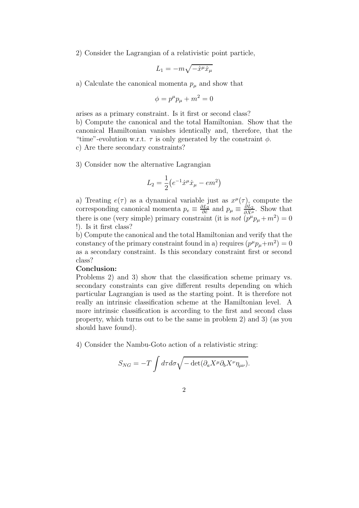2) Consider the Lagrangian of a relativistic point particle,

$$
L_1 = -m\sqrt{-\dot{x}^{\mu}\dot{x}_{\mu}}
$$

a) Calculate the canonical momenta  $p_\mu$  and show that

$$
\phi = p^{\mu}p_{\mu} + m^2 = 0
$$

arises as a primary constraint. Is it first or second class?

b) Compute the canonical and the total Hamiltonian. Show that the canonical Hamiltonian vanishes identically and, therefore, that the "time"-evolution w.r.t.  $\tau$  is only generated by the constraint  $\phi$ . c) Are there secondary constraints?

3) Consider now the alternative Lagrangian

$$
L_2 = \frac{1}{2} (e^{-1} \dot{x}^\mu \dot{x}_\mu - em^2)
$$

a) Treating  $e(\tau)$  as a dynamical variable just as  $x^{\mu}(\tau)$ , compute the corresponding canonical momenta  $p_e \equiv \frac{\partial L_2}{\partial \dot{e}}$  and  $p_\mu \equiv \frac{\partial L_2}{\partial \dot{X}^\mu}$ . Show that there is one (very simple) primary constraint (it is not  $\overrightarrow{(p^{\mu}p_{\mu}+m^2)}=0$ !). Is it first class?

b) Compute the canonical and the total Hamiltonian and verify that the constancy of the primary constraint found in a) requires  $(p^{\mu}p_{\mu}+m^2)=0$ as a secondary constraint. Is this secondary constraint first or second class?

# Conclusion:

Problems 2) and 3) show that the classification scheme primary vs. secondary constraints can give different results depending on which particular Lagrangian is used as the starting point. It is therefore not really an intrinsic classification scheme at the Hamiltonian level. A more intrinsic classification is according to the first and second class property, which turns out to be the same in problem 2) and 3) (as you should have found).

4) Consider the Nambu-Goto action of a relativistic string:

$$
S_{NG} = -T \int d\tau d\sigma \sqrt{-\det(\partial_a X^\mu \partial_b X^\nu \eta_{\mu\nu})}.
$$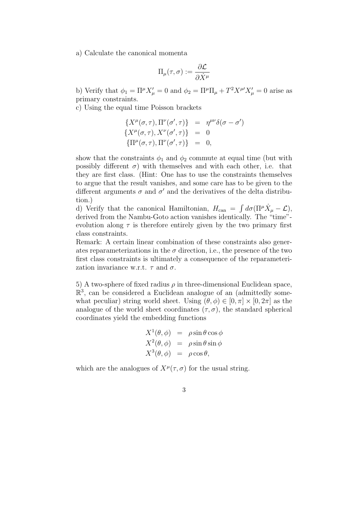a) Calculate the canonical momenta

$$
\Pi_{\mu}(\tau,\sigma) := \frac{\partial \mathcal{L}}{\partial \dot{X}^{\mu}}
$$

b) Verify that  $\phi_1 = \Pi^{\mu} X_{\mu}' = 0$  and  $\phi_2 = \Pi^{\mu} \Pi_{\mu} + T^2 X^{\mu'} X_{\mu}' = 0$  arise as primary constraints.

c) Using the equal time Poisson brackets

$$
\{X^{\mu}(\sigma,\tau),\Pi^{\nu}(\sigma',\tau)\} = \eta^{\mu\nu}\delta(\sigma-\sigma')
$$
  

$$
\{X^{\mu}(\sigma,\tau),X^{\nu}(\sigma',\tau)\} = 0
$$
  

$$
\{\Pi^{\mu}(\sigma,\tau),\Pi^{\nu}(\sigma',\tau)\} = 0,
$$

show that the constraints  $\phi_1$  and  $\phi_2$  commute at equal time (but with possibly different  $\sigma$ ) with themselves and with each other, i.e. that they are first class. (Hint: One has to use the constraints themselves to argue that the result vanishes, and some care has to be given to the different arguments  $\sigma$  and  $\sigma'$  and the derivatives of the delta distribution.)

d) Verify that the canonical Hamiltonian,  $H_{\text{can}} = \int d\sigma (\Pi^{\mu} \dot{X}_{\mu} - \mathcal{L}),$ derived from the Nambu-Goto action vanishes identically. The "time" evolution along  $\tau$  is therefore entirely given by the two primary first class constraints.

Remark: A certain linear combination of these constraints also generates reparameterizations in the  $\sigma$  direction, i.e., the presence of the two first class constraints is ultimately a consequence of the reparameterization invariance w.r.t.  $\tau$  and  $\sigma$ .

5) A two-sphere of fixed radius  $\rho$  in three-dimensional Euclidean space,  $\mathbb{R}^3$ , can be considered a Euclidean analogue of an (admittedly somewhat peculiar) string world sheet. Using  $(\theta, \phi) \in [0, \pi] \times [0, 2\pi]$  as the analogue of the world sheet coordinates  $(\tau, \sigma)$ , the standard spherical coordinates yield the embedding functions

$$
X^{1}(\theta, \phi) = \rho \sin \theta \cos \phi
$$
  

$$
X^{2}(\theta, \phi) = \rho \sin \theta \sin \phi
$$
  

$$
X^{3}(\theta, \phi) = \rho \cos \theta,
$$

which are the analogues of  $X^{\mu}(\tau, \sigma)$  for the usual string.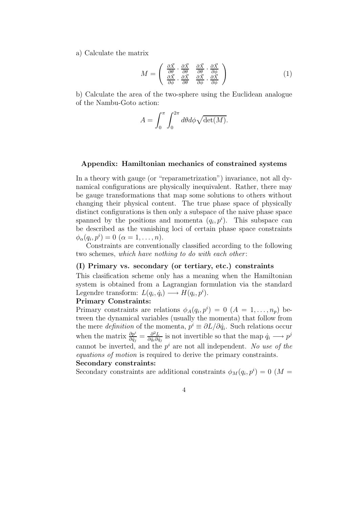a) Calculate the matrix

$$
M = \begin{pmatrix} \frac{\partial \vec{X}}{\partial \theta} \cdot \frac{\partial \vec{X}}{\partial \theta} & \frac{\partial \vec{X}}{\partial \theta} \cdot \frac{\partial \vec{X}}{\partial \phi} \\ \frac{\partial \vec{X}}{\partial \phi} \cdot \frac{\partial \vec{X}}{\partial \theta} & \frac{\partial \vec{X}}{\partial \phi} \cdot \frac{\partial \vec{X}}{\partial \phi} \end{pmatrix}
$$
(1)

b) Calculate the area of the two-sphere using the Euclidean analogue of the Nambu-Goto action:

$$
A = \int_0^{\pi} \int_0^{2\pi} d\theta d\phi \sqrt{\det(M)}.
$$

#### Appendix: Hamiltonian mechanics of constrained systems

In a theory with gauge (or "reparametrization") invariance, not all dynamical configurations are physically inequivalent. Rather, there may be gauge transformations that map some solutions to others without changing their physical content. The true phase space of physically distinct configurations is then only a subspace of the naive phase space spanned by the positions and momenta  $(q_i, p^i)$ . This subspace can be described as the vanishing loci of certain phase space constraints  $\phi_{\alpha}(q_i, p^i) = 0 \; (\alpha = 1, \ldots, n).$ 

Constraints are conventionally classified according to the following two schemes, which have nothing to do with each other:

## (I) Primary vs. secondary (or tertiary, etc.) constraints

This clasification scheme only has a meaning when the Hamiltonian system is obtained from a Lagrangian formulation via the standard Legendre transform:  $L(q_i, \dot{q}_i) \longrightarrow H(q_i, p^i)$ .

### Primary Constraints:

Primary constraints are relations  $\phi_A(q_i, p^i) = 0$   $(A = 1, \ldots, n_p)$  between the dynamical variables (usually the momenta) that follow from the mere *definition* of the momenta,  $p^i \equiv \partial L / \partial \dot{q}_i$ . Such relations occur when the matrix  $\frac{\partial p^i}{\partial \dot{\alpha}}$  $\frac{\partial p^{i}}{\partial \dot{q}_{j}}=\frac{\partial^{2} L}{\partial \dot{q}_{i} \partial \dot{q}}$  $\frac{\partial^2 L}{\partial \dot{q}_i \partial \dot{q}_j}$  is not invertible so that the map  $\dot{q}_i \longrightarrow p^j$ cannot be inverted, and the  $p^i$  are not all independent. No use of the equations of motion is required to derive the primary constraints. Secondary constraints:

Secondary constraints are additional constraints  $\phi_M(q_i, p^i) = 0$  (M =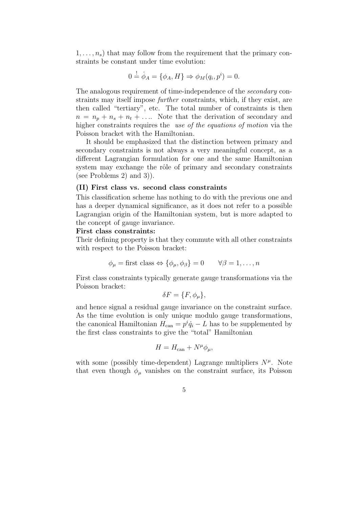$1, \ldots, n_s$  that may follow from the requirement that the primary constraints be constant under time evolution:

$$
0 \stackrel{!}{=} \dot{\phi}_A = \{\phi_A, H\} \Rightarrow \phi_M(q_i, p^i) = 0.
$$

The analogous requirement of time-independence of the secondary constraints may itself impose further constraints, which, if they exist, are then called "tertiary", etc. The total number of constraints is then  $n = n_p + n_s + n_t + \ldots$  Note that the derivation of secondary and higher constraints requires the use of the equations of motion via the Poisson bracket with the Hamiltonian.

It should be emphasized that the distinction between primary and secondary constraints is not always a very meaningful concept, as a different Lagrangian formulation for one and the same Hamiltonian system may exchange the rôle of primary and secondary constraints (see Problems 2) and 3)).

## (II) First class vs. second class constraints

This classification scheme has nothing to do with the previous one and has a deeper dynamical significance, as it does not refer to a possible Lagrangian origin of the Hamiltonian system, but is more adapted to the concept of gauge invariance.

#### First class constraints:

Their defining property is that they commute with all other constraints with respect to the Poisson bracket:

$$
\phi_{\mu} =
$$
first class  $\Leftrightarrow \{\phi_{\mu}, \phi_{\beta}\} = 0$   $\forall \beta = 1, ..., n$ 

First class constraints typically generate gauge transformations via the Poisson bracket:

$$
\delta F = \{F, \phi_{\mu}\},
$$

and hence signal a residual gauge invariance on the constraint surface. As the time evolution is only unique modulo gauge transformations, the canonical Hamiltonian  $H_{\text{can}} = p^i \dot{q}_i - L$  has to be supplemented by the first class constraints to give the "total" Hamiltonian

$$
H = H_{\text{can}} + N^{\mu} \phi_{\mu},
$$

with some (possibly time-dependent) Lagrange multipliers  $N^{\mu}$ . Note that even though  $\phi_{\mu}$  vanishes on the constraint surface, its Poisson